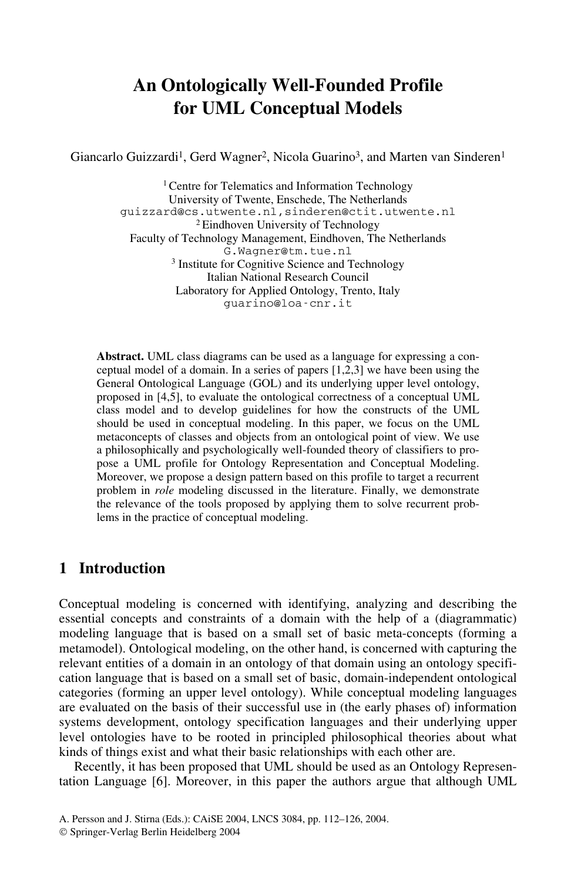# **An Ontologically Well-Founded Profile for UML Conceptual Models**

Giancarlo Guizzardi<sup>1</sup>, Gerd Wagner<sup>2</sup>, Nicola Guarino<sup>3</sup>, and Marten van Sinderen<sup>1</sup>

<sup>1</sup> Centre for Telematics and Information Technology University of Twente, Enschede, The Netherlands guizzard@cs.utwente.nl,sinderen@ctit.utwente.nl 2 Eindhoven University of Technology Faculty of Technology Management, Eindhoven, The Netherlands G.Wagner@tm.tue.nl 3 Institute for Cognitive Science and Technology Italian National Research Council Laboratory for Applied Ontology, Trento, Italy guarino@loa-cnr.it

**Abstract.** UML class diagrams can be used as a language for expressing a conceptual model of a domain. In a series of papers [1,2,3] we have been using the General Ontological Language (GOL) and its underlying upper level ontology, proposed in [4,5], to evaluate the ontological correctness of a conceptual UML class model and to develop guidelines for how the constructs of the UML should be used in conceptual modeling. In this paper, we focus on the UML metaconcepts of classes and objects from an ontological point of view. We use a philosophically and psychologically well-founded theory of classifiers to propose a UML profile for Ontology Representation and Conceptual Modeling. Moreover, we propose a design pattern based on this profile to target a recurrent problem in *role* modeling discussed in the literature. Finally, we demonstrate the relevance of the tools proposed by applying them to solve recurrent problems in the practice of conceptual modeling.

## **1 Introduction**

Conceptual modeling is concerned with identifying, analyzing and describing the essential concepts and constraints of a domain with the help of a (diagrammatic) modeling language that is based on a small set of basic meta-concepts (forming a metamodel). Ontological modeling, on the other hand, is concerned with capturing the relevant entities of a domain in an ontology of that domain using an ontology specification language that is based on a small set of basic, domain-independent ontological categories (forming an upper level ontology). While conceptual modeling languages are evaluated on the basis of their successful use in (the early phases of) information systems development, ontology specification languages and their underlying upper level ontologies have to be rooted in principled philosophical theories about what kinds of things exist and what their basic relationships with each other are.

Recently, it has been proposed that UML should be used as an Ontology Representation Language [6]. Moreover, in this paper the authors argue that although UML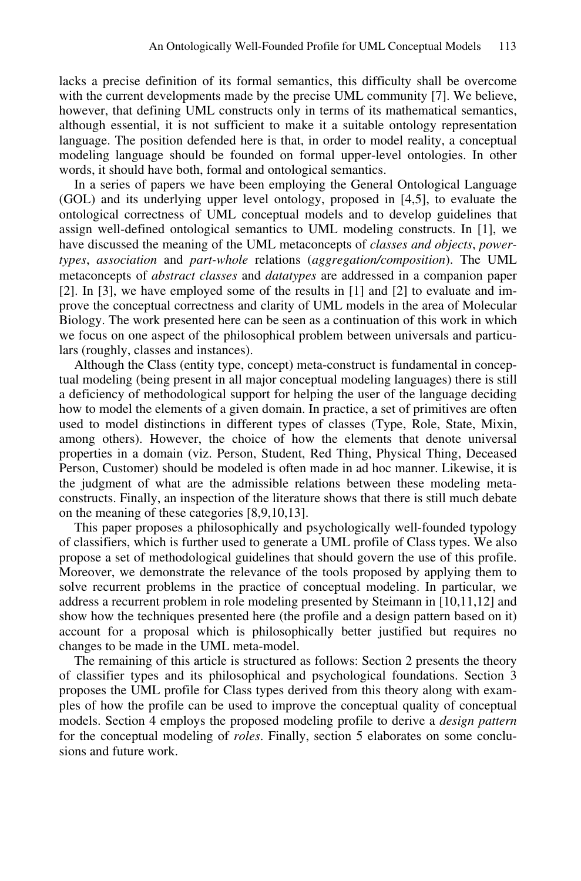lacks a precise definition of its formal semantics, this difficulty shall be overcome with the current developments made by the precise UML community [7]. We believe, however, that defining UML constructs only in terms of its mathematical semantics, although essential, it is not sufficient to make it a suitable ontology representation language. The position defended here is that, in order to model reality, a conceptual modeling language should be founded on formal upper-level ontologies. In other words, it should have both, formal and ontological semantics.

In a series of papers we have been employing the General Ontological Language (GOL) and its underlying upper level ontology, proposed in [4,5], to evaluate the ontological correctness of UML conceptual models and to develop guidelines that assign well-defined ontological semantics to UML modeling constructs. In [1], we have discussed the meaning of the UML metaconcepts of *classes and objects*, *powertypes*, *association* and *part-whole* relations (*aggregation/composition*). The UML metaconcepts of *abstract classes* and *datatypes* are addressed in a companion paper [2]. In [3], we have employed some of the results in [1] and [2] to evaluate and improve the conceptual correctness and clarity of UML models in the area of Molecular Biology. The work presented here can be seen as a continuation of this work in which we focus on one aspect of the philosophical problem between universals and particulars (roughly, classes and instances).

Although the Class (entity type, concept) meta-construct is fundamental in conceptual modeling (being present in all major conceptual modeling languages) there is still a deficiency of methodological support for helping the user of the language deciding how to model the elements of a given domain. In practice, a set of primitives are often used to model distinctions in different types of classes (Type, Role, State, Mixin, among others). However, the choice of how the elements that denote universal properties in a domain (viz. Person, Student, Red Thing, Physical Thing, Deceased Person, Customer) should be modeled is often made in ad hoc manner. Likewise, it is the judgment of what are the admissible relations between these modeling metaconstructs. Finally, an inspection of the literature shows that there is still much debate on the meaning of these categories [8,9,10,13].

This paper proposes a philosophically and psychologically well-founded typology of classifiers, which is further used to generate a UML profile of Class types. We also propose a set of methodological guidelines that should govern the use of this profile. Moreover, we demonstrate the relevance of the tools proposed by applying them to solve recurrent problems in the practice of conceptual modeling. In particular, we address a recurrent problem in role modeling presented by Steimann in [10,11,12] and show how the techniques presented here (the profile and a design pattern based on it) account for a proposal which is philosophically better justified but requires no changes to be made in the UML meta-model.

The remaining of this article is structured as follows: Section 2 presents the theory of classifier types and its philosophical and psychological foundations. Section 3 proposes the UML profile for Class types derived from this theory along with examples of how the profile can be used to improve the conceptual quality of conceptual models. Section 4 employs the proposed modeling profile to derive a *design pattern*  for the conceptual modeling of *roles*. Finally, section 5 elaborates on some conclusions and future work.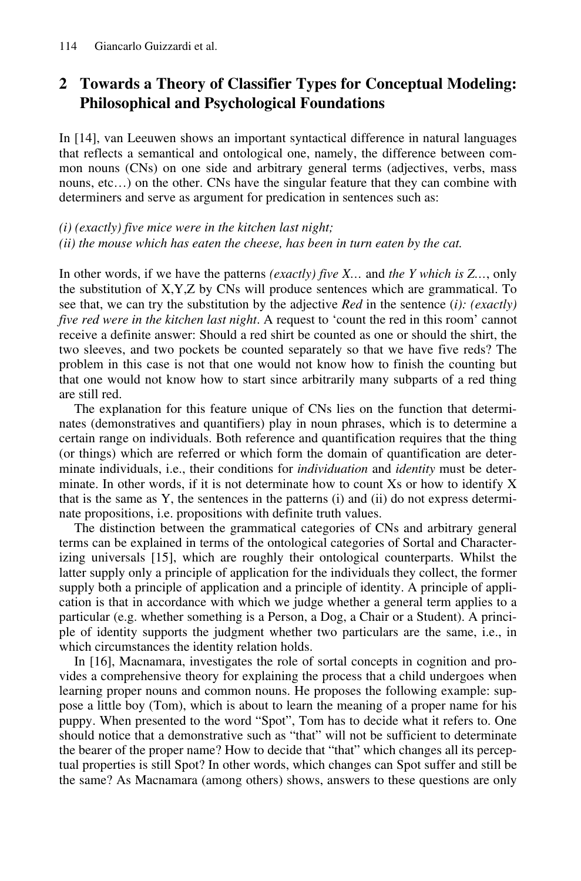## **2 Towards a Theory of Classifier Types for Conceptual Modeling: Philosophical and Psychological Foundations**

In [14], van Leeuwen shows an important syntactical difference in natural languages that reflects a semantical and ontological one, namely, the difference between common nouns (CNs) on one side and arbitrary general terms (adjectives, verbs, mass nouns, etc…) on the other. CNs have the singular feature that they can combine with determiners and serve as argument for predication in sentences such as:

*(i) (exactly) five mice were in the kitchen last night; (ii) the mouse which has eaten the cheese, has been in turn eaten by the cat.* 

In other words, if we have the patterns *(exactly) five X…* and *the Y which is Z…*, only the substitution of X,Y,Z by CNs will produce sentences which are grammatical. To see that, we can try the substitution by the adjective *Red* in the sentence (*i): (exactly) five red were in the kitchen last night*. A request to 'count the red in this room' cannot receive a definite answer: Should a red shirt be counted as one or should the shirt, the two sleeves, and two pockets be counted separately so that we have five reds? The problem in this case is not that one would not know how to finish the counting but that one would not know how to start since arbitrarily many subparts of a red thing are still red.

The explanation for this feature unique of CNs lies on the function that determinates (demonstratives and quantifiers) play in noun phrases, which is to determine a certain range on individuals. Both reference and quantification requires that the thing (or things) which are referred or which form the domain of quantification are determinate individuals, i.e., their conditions for *individuation* and *identity* must be determinate. In other words, if it is not determinate how to count Xs or how to identify X that is the same as Y, the sentences in the patterns (i) and (ii) do not express determinate propositions, i.e. propositions with definite truth values.

The distinction between the grammatical categories of CNs and arbitrary general terms can be explained in terms of the ontological categories of Sortal and Characterizing universals [15], which are roughly their ontological counterparts. Whilst the latter supply only a principle of application for the individuals they collect, the former supply both a principle of application and a principle of identity. A principle of application is that in accordance with which we judge whether a general term applies to a particular (e.g. whether something is a Person, a Dog, a Chair or a Student). A principle of identity supports the judgment whether two particulars are the same, i.e., in which circumstances the identity relation holds.

In [16], Macnamara, investigates the role of sortal concepts in cognition and provides a comprehensive theory for explaining the process that a child undergoes when learning proper nouns and common nouns. He proposes the following example: suppose a little boy (Tom), which is about to learn the meaning of a proper name for his puppy. When presented to the word "Spot", Tom has to decide what it refers to. One should notice that a demonstrative such as "that" will not be sufficient to determinate the bearer of the proper name? How to decide that "that" which changes all its perceptual properties is still Spot? In other words, which changes can Spot suffer and still be the same? As Macnamara (among others) shows, answers to these questions are only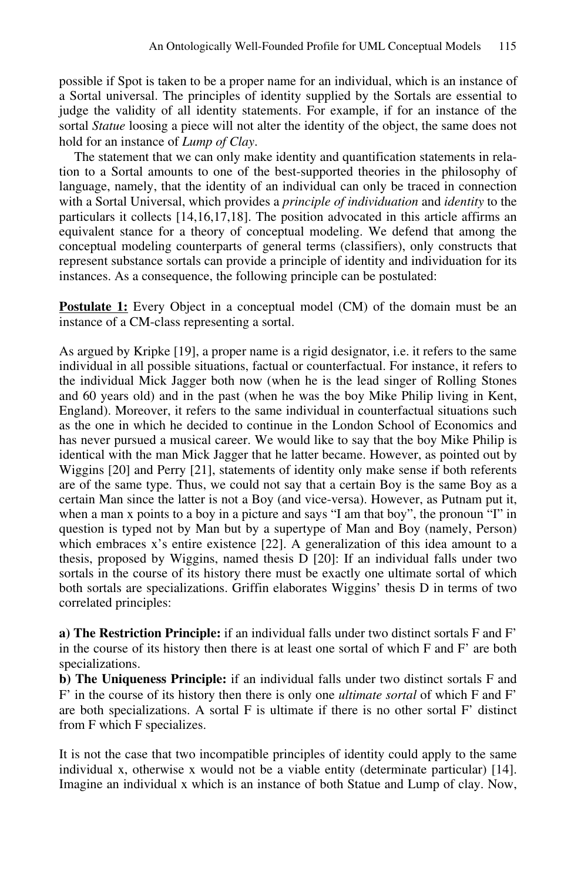possible if Spot is taken to be a proper name for an individual, which is an instance of a Sortal universal. The principles of identity supplied by the Sortals are essential to judge the validity of all identity statements. For example, if for an instance of the sortal *Statue* loosing a piece will not alter the identity of the object, the same does not hold for an instance of *Lump of Clay*.

The statement that we can only make identity and quantification statements in relation to a Sortal amounts to one of the best-supported theories in the philosophy of language, namely, that the identity of an individual can only be traced in connection with a Sortal Universal, which provides a *principle of individuation* and *identity* to the particulars it collects [14,16,17,18]. The position advocated in this article affirms an equivalent stance for a theory of conceptual modeling. We defend that among the conceptual modeling counterparts of general terms (classifiers), only constructs that represent substance sortals can provide a principle of identity and individuation for its instances. As a consequence, the following principle can be postulated:

**Postulate 1:** Every Object in a conceptual model (CM) of the domain must be an instance of a CM-class representing a sortal.

As argued by Kripke [19], a proper name is a rigid designator, i.e. it refers to the same individual in all possible situations, factual or counterfactual. For instance, it refers to the individual Mick Jagger both now (when he is the lead singer of Rolling Stones and 60 years old) and in the past (when he was the boy Mike Philip living in Kent, England). Moreover, it refers to the same individual in counterfactual situations such as the one in which he decided to continue in the London School of Economics and has never pursued a musical career. We would like to say that the boy Mike Philip is identical with the man Mick Jagger that he latter became. However, as pointed out by Wiggins [20] and Perry [21], statements of identity only make sense if both referents are of the same type. Thus, we could not say that a certain Boy is the same Boy as a certain Man since the latter is not a Boy (and vice-versa). However, as Putnam put it, when a man x points to a boy in a picture and says "I am that boy", the pronoun "I" in question is typed not by Man but by a supertype of Man and Boy (namely, Person) which embraces x's entire existence [22]. A generalization of this idea amount to a thesis, proposed by Wiggins, named thesis D [20]: If an individual falls under two sortals in the course of its history there must be exactly one ultimate sortal of which both sortals are specializations. Griffin elaborates Wiggins' thesis D in terms of two correlated principles:

**a) The Restriction Principle:** if an individual falls under two distinct sortals F and F' in the course of its history then there is at least one sortal of which F and F' are both specializations.

**b) The Uniqueness Principle:** if an individual falls under two distinct sortals F and F' in the course of its history then there is only one *ultimate sortal* of which F and F' are both specializations. A sortal F is ultimate if there is no other sortal F' distinct from F which F specializes.

It is not the case that two incompatible principles of identity could apply to the same individual x, otherwise x would not be a viable entity (determinate particular) [14]. Imagine an individual x which is an instance of both Statue and Lump of clay. Now,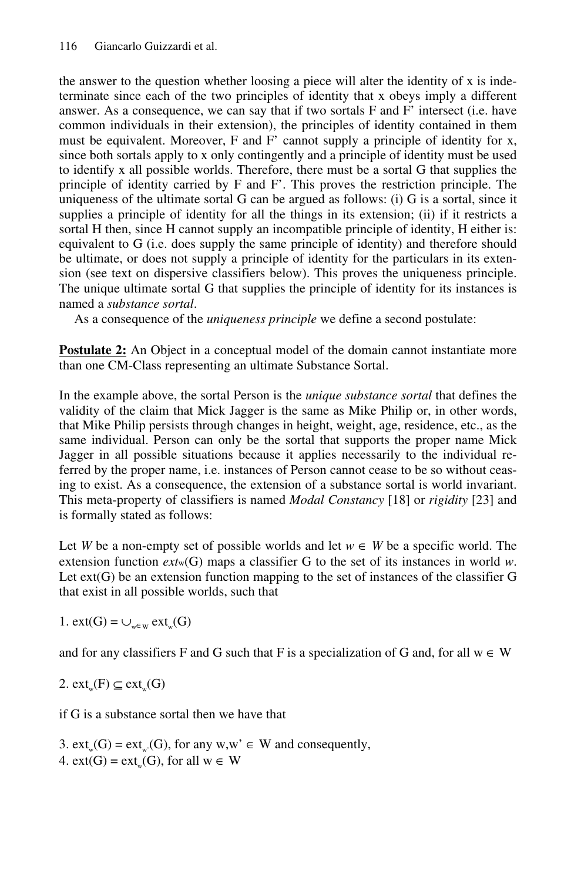the answer to the question whether loosing a piece will alter the identity of x is indeterminate since each of the two principles of identity that x obeys imply a different answer. As a consequence, we can say that if two sortals F and F' intersect (i.e. have common individuals in their extension), the principles of identity contained in them must be equivalent. Moreover, F and F' cannot supply a principle of identity for x, since both sortals apply to x only contingently and a principle of identity must be used to identify x all possible worlds. Therefore, there must be a sortal G that supplies the principle of identity carried by F and F'. This proves the restriction principle. The uniqueness of the ultimate sortal G can be argued as follows: (i) G is a sortal, since it supplies a principle of identity for all the things in its extension; (ii) if it restricts a sortal H then, since H cannot supply an incompatible principle of identity, H either is: equivalent to G (i.e. does supply the same principle of identity) and therefore should be ultimate, or does not supply a principle of identity for the particulars in its extension (see text on dispersive classifiers below). This proves the uniqueness principle. The unique ultimate sortal G that supplies the principle of identity for its instances is named a *substance sortal*.

As a consequence of the *uniqueness principle* we define a second postulate:

**Postulate 2:** An Object in a conceptual model of the domain cannot instantiate more than one CM-Class representing an ultimate Substance Sortal.

In the example above, the sortal Person is the *unique substance sortal* that defines the validity of the claim that Mick Jagger is the same as Mike Philip or, in other words, that Mike Philip persists through changes in height, weight, age, residence, etc., as the same individual. Person can only be the sortal that supports the proper name Mick Jagger in all possible situations because it applies necessarily to the individual referred by the proper name, i.e. instances of Person cannot cease to be so without ceasing to exist. As a consequence, the extension of a substance sortal is world invariant. This meta-property of classifiers is named *Modal Constancy* [18] or *rigidity* [23] and is formally stated as follows:

Let *W* be a non-empty set of possible worlds and let  $w \in W$  be a specific world. The extension function *ext*w(G) maps a classifier G to the set of its instances in world *w*. Let  $ext(G)$  be an extension function mapping to the set of instances of the classifier G that exist in all possible worlds, such that

1.  $ext(G) = \bigcup_{w \in w} ext_w(G)$ 

and for any classifiers F and G such that F is a specialization of G and, for all  $w \in W$ 

$$
2.\; \text{ext}_{\mathbf{w}}(F) \subseteq \text{ext}_{\mathbf{w}}(G)
$$

if G is a substance sortal then we have that

3.  $ext_w(G) = ext_w(G)$ , for any  $w, w' \in W$  and consequently, 4.  $ext(G) = ext_{w}(G)$ , for all  $w \in W$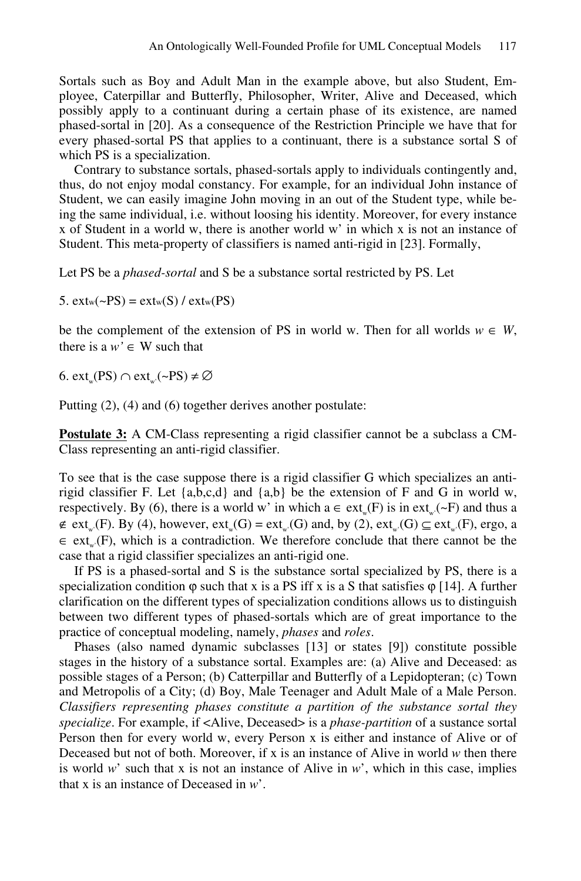Sortals such as Boy and Adult Man in the example above, but also Student, Employee, Caterpillar and Butterfly, Philosopher, Writer, Alive and Deceased, which possibly apply to a continuant during a certain phase of its existence, are named phased-sortal in [20]. As a consequence of the Restriction Principle we have that for every phased-sortal PS that applies to a continuant, there is a substance sortal S of which PS is a specialization.

Contrary to substance sortals, phased-sortals apply to individuals contingently and, thus, do not enjoy modal constancy. For example, for an individual John instance of Student, we can easily imagine John moving in an out of the Student type, while being the same individual, i.e. without loosing his identity. Moreover, for every instance x of Student in a world w, there is another world w' in which x is not an instance of Student. This meta-property of classifiers is named anti-rigid in [23]. Formally,

Let PS be a *phased-sortal* and S be a substance sortal restricted by PS. Let

5.  $ext{ext{w}}(\sim PS) = ext{wt{w}}(S) / ext{w}(PS)$ 

be the complement of the extension of PS in world w. Then for all worlds  $w \in W$ , there is a  $w' \in W$  such that

6.  $ext_w(PS) \cap ext_w(\sim PS) \neq \emptyset$ 

Putting (2), (4) and (6) together derives another postulate:

**Postulate 3:** A CM-Class representing a rigid classifier cannot be a subclass a CM-Class representing an anti-rigid classifier.

To see that is the case suppose there is a rigid classifier G which specializes an antirigid classifier F. Let {a,b,c,d} and {a,b} be the extension of F and G in world w, respectively. By (6), there is a world w' in which  $a \in ext_w(F)$  is in  $ext_w(-F)$  and thus a ∉ ext<sub>w</sub>(F). By (4), however, ext<sub>w</sub>(G) = ext<sub>w</sub>(G) and, by (2), ext<sub>w</sub>(G)  $\subseteq$  ext<sub>w</sub>(F), ergo, a  $\in$  ext<sub>w</sub>(F), which is a contradiction. We therefore conclude that there cannot be the case that a rigid classifier specializes an anti-rigid one.

If PS is a phased-sortal and S is the substance sortal specialized by PS, there is a specialization condition  $\varphi$  such that x is a PS iff x is a S that satisfies  $\varphi$  [14]. A further clarification on the different types of specialization conditions allows us to distinguish between two different types of phased-sortals which are of great importance to the practice of conceptual modeling, namely, *phases* and *roles*.

Phases (also named dynamic subclasses [13] or states [9]) constitute possible stages in the history of a substance sortal. Examples are: (a) Alive and Deceased: as possible stages of a Person; (b) Catterpillar and Butterfly of a Lepidopteran; (c) Town and Metropolis of a City; (d) Boy, Male Teenager and Adult Male of a Male Person. *Classifiers representing phases constitute a partition of the substance sortal they specialize*. For example, if <Alive, Deceased> is a *phase-partition* of a sustance sortal Person then for every world w, every Person x is either and instance of Alive or of Deceased but not of both. Moreover, if x is an instance of Alive in world *w* then there is world *w*' such that x is not an instance of Alive in *w*', which in this case, implies that x is an instance of Deceased in *w*'.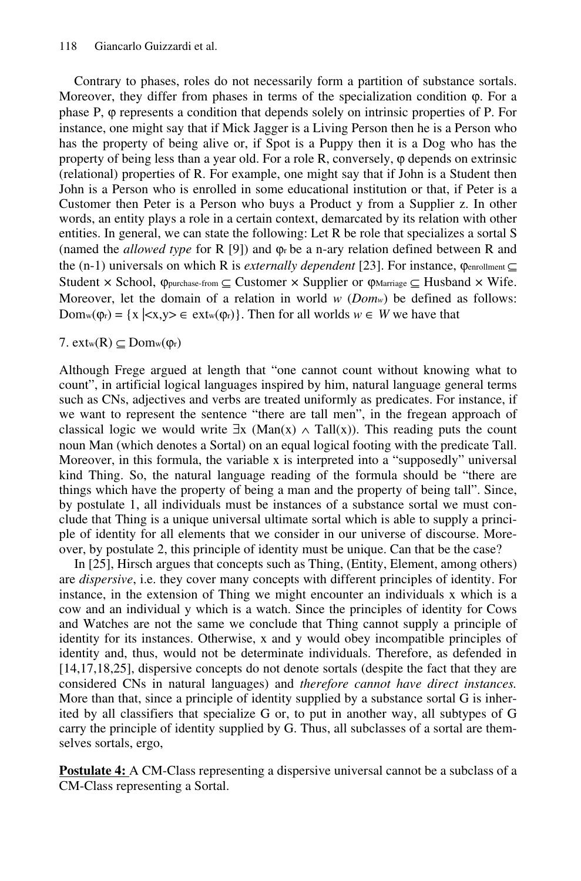Contrary to phases, roles do not necessarily form a partition of substance sortals. Moreover, they differ from phases in terms of the specialization condition ϕ. For a phase P, ϕ represents a condition that depends solely on intrinsic properties of P. For instance, one might say that if Mick Jagger is a Living Person then he is a Person who has the property of being alive or, if Spot is a Puppy then it is a Dog who has the property of being less than a year old. For a role  $R$ , conversely,  $\varphi$  depends on extrinsic (relational) properties of R. For example, one might say that if John is a Student then John is a Person who is enrolled in some educational institution or that, if Peter is a Customer then Peter is a Person who buys a Product y from a Supplier z. In other words, an entity plays a role in a certain context, demarcated by its relation with other entities. In general, we can state the following: Let R be role that specializes a sortal S (named the *allowed type* for R [9]) and ϕr be a n-ary relation defined between R and the (n-1) universals on which R is *externally dependent* [23]. For instance, ϕenrollment ⊆ Student × School,  $\phi$ <sub>purchase-from</sub> ⊆ Customer × Supplier or  $\phi$ <sub>Marriage</sub> ⊆ Husband × Wife. Moreover, let the domain of a relation in world *w* (*Domw*) be defined as follows: Dom<sub>w</sub>( $\varphi$ r) = {x | < x, y >  $\in$  ext<sub>w</sub>( $\varphi$ r)}. Then for all worlds  $w \in W$  we have that

7.  $ext{ext{w}}(R) \subset Dom_w(\varphi_r)$ 

Although Frege argued at length that "one cannot count without knowing what to count", in artificial logical languages inspired by him, natural language general terms such as CNs, adjectives and verbs are treated uniformly as predicates. For instance, if we want to represent the sentence "there are tall men", in the fregean approach of classical logic we would write  $\exists x \ (\text{Man}(x) \land \text{Tall}(x))$ . This reading puts the count noun Man (which denotes a Sortal) on an equal logical footing with the predicate Tall. Moreover, in this formula, the variable x is interpreted into a "supposedly" universal kind Thing. So, the natural language reading of the formula should be "there are things which have the property of being a man and the property of being tall". Since, by postulate 1, all individuals must be instances of a substance sortal we must conclude that Thing is a unique universal ultimate sortal which is able to supply a principle of identity for all elements that we consider in our universe of discourse. Moreover, by postulate 2, this principle of identity must be unique. Can that be the case?

In [25], Hirsch argues that concepts such as Thing, (Entity, Element, among others) are *dispersive*, i.e. they cover many concepts with different principles of identity. For instance, in the extension of Thing we might encounter an individuals x which is a cow and an individual y which is a watch. Since the principles of identity for Cows and Watches are not the same we conclude that Thing cannot supply a principle of identity for its instances. Otherwise, x and y would obey incompatible principles of identity and, thus, would not be determinate individuals. Therefore, as defended in [14,17,18,25], dispersive concepts do not denote sortals (despite the fact that they are considered CNs in natural languages) and *therefore cannot have direct instances.*  More than that, since a principle of identity supplied by a substance sortal G is inherited by all classifiers that specialize G or, to put in another way, all subtypes of G carry the principle of identity supplied by G. Thus, all subclasses of a sortal are themselves sortals, ergo,

**Postulate 4:** A CM-Class representing a dispersive universal cannot be a subclass of a CM-Class representing a Sortal.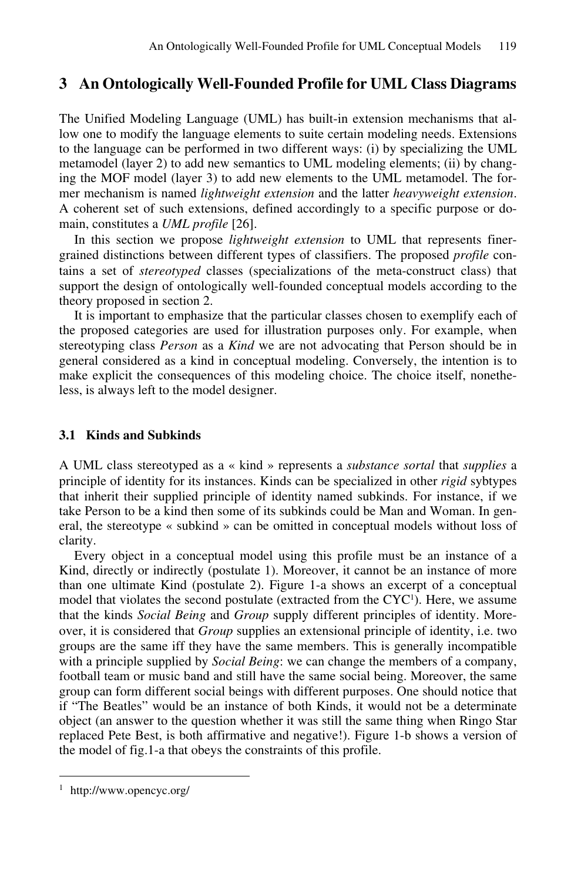## **3 An Ontologically Well-Founded Profile for UML Class Diagrams**

The Unified Modeling Language (UML) has built-in extension mechanisms that allow one to modify the language elements to suite certain modeling needs. Extensions to the language can be performed in two different ways: (i) by specializing the UML metamodel (layer 2) to add new semantics to UML modeling elements; (ii) by changing the MOF model (layer 3) to add new elements to the UML metamodel. The former mechanism is named *lightweight extension* and the latter *heavyweight extension*. A coherent set of such extensions, defined accordingly to a specific purpose or domain, constitutes a *UML profile* [26].

In this section we propose *lightweight extension* to UML that represents finergrained distinctions between different types of classifiers. The proposed *profile* contains a set of *stereotyped* classes (specializations of the meta-construct class) that support the design of ontologically well-founded conceptual models according to the theory proposed in section 2.

It is important to emphasize that the particular classes chosen to exemplify each of the proposed categories are used for illustration purposes only. For example, when stereotyping class *Person* as a *Kind* we are not advocating that Person should be in general considered as a kind in conceptual modeling. Conversely, the intention is to make explicit the consequences of this modeling choice. The choice itself, nonetheless, is always left to the model designer.

#### **3.1 Kinds and Subkinds**

A UML class stereotyped as a « kind » represents a *substance sortal* that *supplies* a principle of identity for its instances. Kinds can be specialized in other *rigid* sybtypes that inherit their supplied principle of identity named subkinds. For instance, if we take Person to be a kind then some of its subkinds could be Man and Woman. In general, the stereotype « subkind » can be omitted in conceptual models without loss of clarity.

Every object in a conceptual model using this profile must be an instance of a Kind, directly or indirectly (postulate 1). Moreover, it cannot be an instance of more than one ultimate Kind (postulate 2). Figure 1-a shows an excerpt of a conceptual model that violates the second postulate (extracted from the CYC<sup>1</sup>). Here, we assume that the kinds *Social Being* and *Group* supply different principles of identity. Moreover, it is considered that *Group* supplies an extensional principle of identity, i.e. two groups are the same iff they have the same members. This is generally incompatible with a principle supplied by *Social Being*: we can change the members of a company, football team or music band and still have the same social being. Moreover, the same group can form different social beings with different purposes. One should notice that if "The Beatles" would be an instance of both Kinds, it would not be a determinate object (an answer to the question whether it was still the same thing when Ringo Star replaced Pete Best, is both affirmative and negative!). Figure 1-b shows a version of the model of fig.1-a that obeys the constraints of this profile.

 $\overline{a}$ 

<sup>1</sup> http://www.opencyc.org/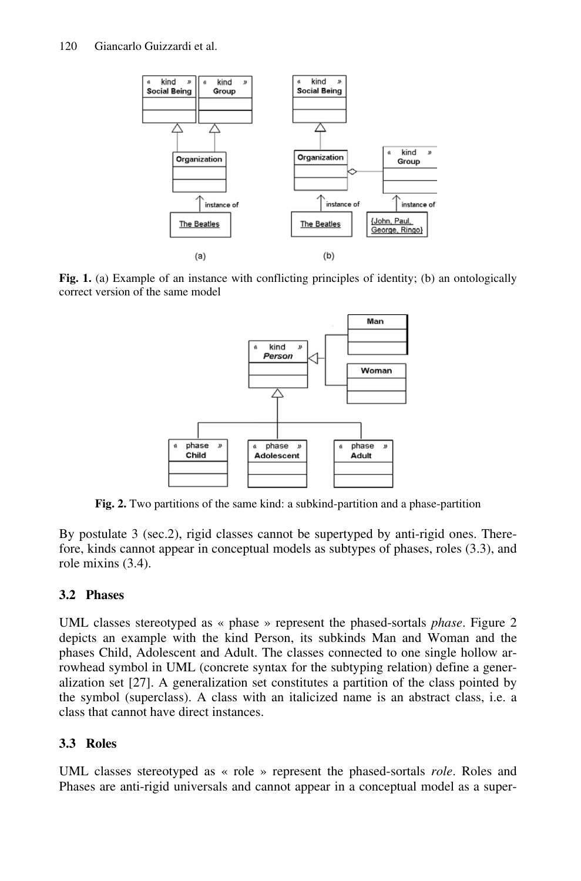

**Fig. 1.** (a) Example of an instance with conflicting principles of identity; (b) an ontologically correct version of the same model



**Fig. 2.** Two partitions of the same kind: a subkind-partition and a phase-partition

By postulate 3 (sec.2), rigid classes cannot be supertyped by anti-rigid ones. Therefore, kinds cannot appear in conceptual models as subtypes of phases, roles (3.3), and role mixins (3.4).

## **3.2 Phases**

UML classes stereotyped as « phase » represent the phased-sortals *phase*. Figure 2 depicts an example with the kind Person, its subkinds Man and Woman and the phases Child, Adolescent and Adult. The classes connected to one single hollow arrowhead symbol in UML (concrete syntax for the subtyping relation) define a generalization set [27]. A generalization set constitutes a partition of the class pointed by the symbol (superclass). A class with an italicized name is an abstract class, i.e. a class that cannot have direct instances.

## **3.3 Roles**

UML classes stereotyped as « role » represent the phased-sortals *role*. Roles and Phases are anti-rigid universals and cannot appear in a conceptual model as a super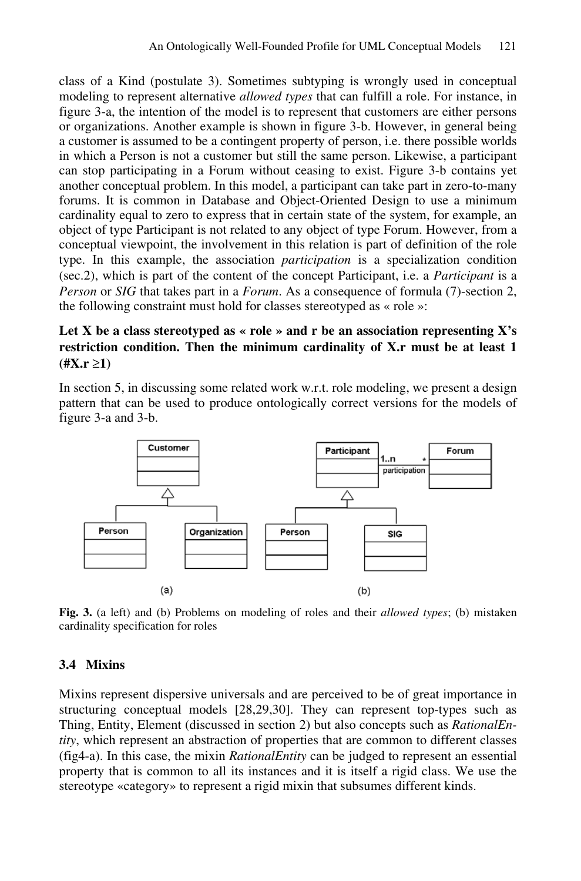class of a Kind (postulate 3). Sometimes subtyping is wrongly used in conceptual modeling to represent alternative *allowed types* that can fulfill a role. For instance, in figure 3-a, the intention of the model is to represent that customers are either persons or organizations. Another example is shown in figure 3-b. However, in general being a customer is assumed to be a contingent property of person, i.e. there possible worlds in which a Person is not a customer but still the same person. Likewise, a participant can stop participating in a Forum without ceasing to exist. Figure 3-b contains yet another conceptual problem. In this model, a participant can take part in zero-to-many forums. It is common in Database and Object-Oriented Design to use a minimum cardinality equal to zero to express that in certain state of the system, for example, an object of type Participant is not related to any object of type Forum. However, from a conceptual viewpoint, the involvement in this relation is part of definition of the role type. In this example, the association *participation* is a specialization condition (sec.2), which is part of the content of the concept Participant, i.e. a *Participant* is a *Person* or *SIG* that takes part in a *Forum*. As a consequence of formula (7)-section 2, the following constraint must hold for classes stereotyped as « role »:

#### **Let X be a class stereotyped as « role » and r be an association representing X's restriction condition. Then the minimum cardinality of X.r must be at least 1 (#X.r** ≥**1)**

In section 5, in discussing some related work w.r.t. role modeling, we present a design pattern that can be used to produce ontologically correct versions for the models of figure 3-a and 3-b.



**Fig. 3.** (a left) and (b) Problems on modeling of roles and their *allowed types*; (b) mistaken cardinality specification for roles

## **3.4 Mixins**

Mixins represent dispersive universals and are perceived to be of great importance in structuring conceptual models [28,29,30]. They can represent top-types such as Thing, Entity, Element (discussed in section 2) but also concepts such as *RationalEntity*, which represent an abstraction of properties that are common to different classes (fig4-a). In this case, the mixin *RationalEntity* can be judged to represent an essential property that is common to all its instances and it is itself a rigid class. We use the stereotype «category» to represent a rigid mixin that subsumes different kinds.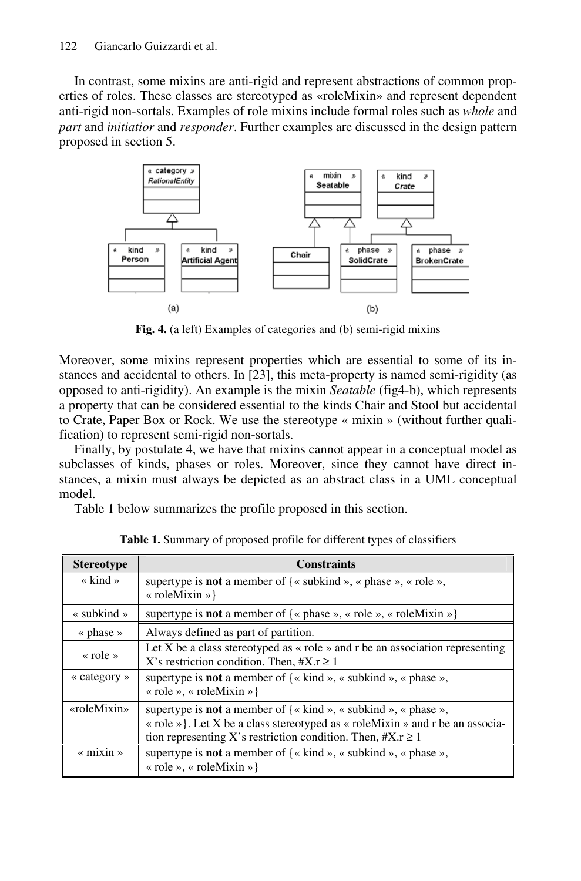In contrast, some mixins are anti-rigid and represent abstractions of common properties of roles. These classes are stereotyped as «roleMixin» and represent dependent anti-rigid non-sortals. Examples of role mixins include formal roles such as *whole* and *part* and *initiatior* and *responder*. Further examples are discussed in the design pattern proposed in section 5.



**Fig. 4.** (a left) Examples of categories and (b) semi-rigid mixins

Moreover, some mixins represent properties which are essential to some of its instances and accidental to others. In [23], this meta-property is named semi-rigidity (as opposed to anti-rigidity). An example is the mixin *Seatable* (fig4-b), which represents a property that can be considered essential to the kinds Chair and Stool but accidental to Crate, Paper Box or Rock. We use the stereotype « mixin » (without further qualification) to represent semi-rigid non-sortals.

Finally, by postulate 4, we have that mixins cannot appear in a conceptual model as subclasses of kinds, phases or roles. Moreover, since they cannot have direct instances, a mixin must always be depicted as an abstract class in a UML conceptual model.

Table 1 below summarizes the profile proposed in this section.

| <b>Stereotype</b>         | <b>Constraints</b>                                                                                                                                                                                                                   |
|---------------------------|--------------------------------------------------------------------------------------------------------------------------------------------------------------------------------------------------------------------------------------|
| $\ll$ kind »              | supertype is <b>not</b> a member of $\{\alpha$ subkind », $\alpha$ phase », $\alpha$ role »,<br>« roleMixin » $\}$                                                                                                                   |
| « subkind »               | supertype is <b>not</b> a member of $\{\alpha\}$ phase », « role », « roleMixin »                                                                                                                                                    |
| « phase »                 | Always defined as part of partition.                                                                                                                                                                                                 |
| « role »                  | Let X be a class stereotyped as $\alpha$ role $\alpha$ and r be an association representing<br>X's restriction condition. Then, $#X.r \ge 1$                                                                                         |
| « category »              | supertype is <b>not</b> a member of $\{\ll k$ ind », « subkind », « phase »,<br>« role », « roleMixin »}                                                                                                                             |
| «roleMixin»               | supertype is <b>not</b> a member of $\{\ll k$ ind », « subkind », « phase »,<br>« role » }. Let X be a class stereotyped as « role Mixin » and r be an associa-<br>tion representing X's restriction condition. Then, $\#X.r \geq 1$ |
| $\langle$ mixin $\rangle$ | supertype is <b>not</b> a member of $\{\ll k$ ind », « subkind », « phase »,<br>« role », « roleMixin »}                                                                                                                             |

**Table 1.** Summary of proposed profile for different types of classifiers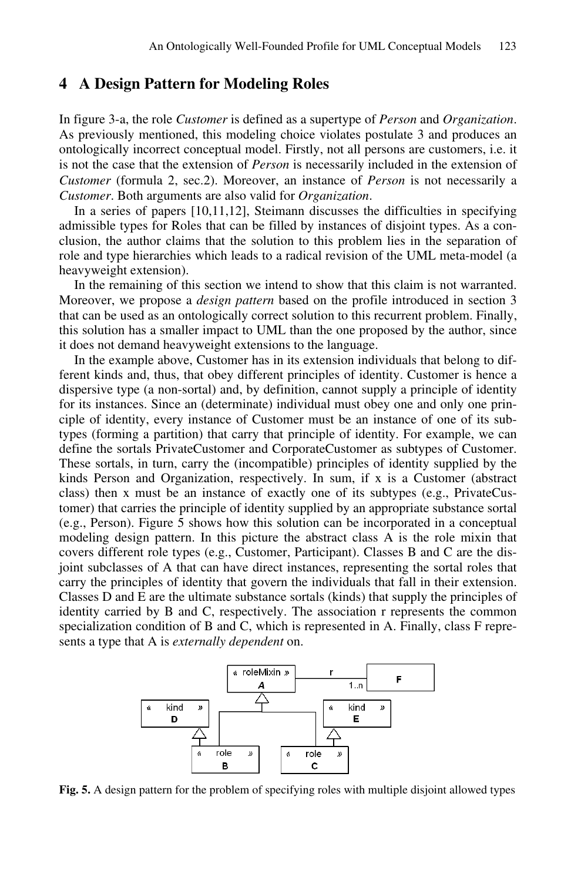#### **4 A Design Pattern for Modeling Roles**

In figure 3-a, the role *Customer* is defined as a supertype of *Person* and *Organization*. As previously mentioned, this modeling choice violates postulate 3 and produces an ontologically incorrect conceptual model. Firstly, not all persons are customers, i.e. it is not the case that the extension of *Person* is necessarily included in the extension of *Customer* (formula 2, sec.2). Moreover, an instance of *Person* is not necessarily a *Customer*. Both arguments are also valid for *Organization*.

In a series of papers [10,11,12], Steimann discusses the difficulties in specifying admissible types for Roles that can be filled by instances of disjoint types. As a conclusion, the author claims that the solution to this problem lies in the separation of role and type hierarchies which leads to a radical revision of the UML meta-model (a heavyweight extension).

In the remaining of this section we intend to show that this claim is not warranted. Moreover, we propose a *design pattern* based on the profile introduced in section 3 that can be used as an ontologically correct solution to this recurrent problem. Finally, this solution has a smaller impact to UML than the one proposed by the author, since it does not demand heavyweight extensions to the language.

In the example above, Customer has in its extension individuals that belong to different kinds and, thus, that obey different principles of identity. Customer is hence a dispersive type (a non-sortal) and, by definition, cannot supply a principle of identity for its instances. Since an (determinate) individual must obey one and only one principle of identity, every instance of Customer must be an instance of one of its subtypes (forming a partition) that carry that principle of identity. For example, we can define the sortals PrivateCustomer and CorporateCustomer as subtypes of Customer. These sortals, in turn, carry the (incompatible) principles of identity supplied by the kinds Person and Organization, respectively. In sum, if x is a Customer (abstract class) then x must be an instance of exactly one of its subtypes (e.g., PrivateCustomer) that carries the principle of identity supplied by an appropriate substance sortal (e.g., Person). Figure 5 shows how this solution can be incorporated in a conceptual modeling design pattern. In this picture the abstract class A is the role mixin that covers different role types (e.g., Customer, Participant). Classes B and C are the disjoint subclasses of A that can have direct instances, representing the sortal roles that carry the principles of identity that govern the individuals that fall in their extension. Classes D and E are the ultimate substance sortals (kinds) that supply the principles of identity carried by B and C, respectively. The association r represents the common specialization condition of B and C, which is represented in A. Finally, class F represents a type that A is *externally dependent* on.



**Fig. 5.** A design pattern for the problem of specifying roles with multiple disjoint allowed types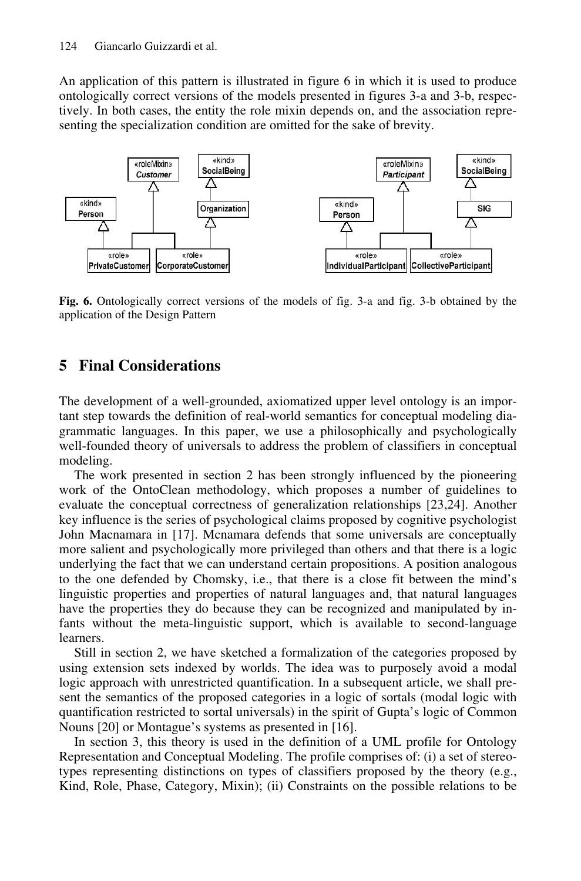An application of this pattern is illustrated in figure 6 in which it is used to produce ontologically correct versions of the models presented in figures 3-a and 3-b, respectively. In both cases, the entity the role mixin depends on, and the association representing the specialization condition are omitted for the sake of brevity.



**Fig. 6.** Ontologically correct versions of the models of fig. 3-a and fig. 3-b obtained by the application of the Design Pattern

## **5 Final Considerations**

The development of a well-grounded, axiomatized upper level ontology is an important step towards the definition of real-world semantics for conceptual modeling diagrammatic languages. In this paper, we use a philosophically and psychologically well-founded theory of universals to address the problem of classifiers in conceptual modeling.

The work presented in section 2 has been strongly influenced by the pioneering work of the OntoClean methodology, which proposes a number of guidelines to evaluate the conceptual correctness of generalization relationships [23,24]. Another key influence is the series of psychological claims proposed by cognitive psychologist John Macnamara in [17]. Mcnamara defends that some universals are conceptually more salient and psychologically more privileged than others and that there is a logic underlying the fact that we can understand certain propositions. A position analogous to the one defended by Chomsky, i.e., that there is a close fit between the mind's linguistic properties and properties of natural languages and, that natural languages have the properties they do because they can be recognized and manipulated by infants without the meta-linguistic support, which is available to second-language learners.

Still in section 2, we have sketched a formalization of the categories proposed by using extension sets indexed by worlds. The idea was to purposely avoid a modal logic approach with unrestricted quantification. In a subsequent article, we shall present the semantics of the proposed categories in a logic of sortals (modal logic with quantification restricted to sortal universals) in the spirit of Gupta's logic of Common Nouns [20] or Montague's systems as presented in [16].

In section 3, this theory is used in the definition of a UML profile for Ontology Representation and Conceptual Modeling. The profile comprises of: (i) a set of stereotypes representing distinctions on types of classifiers proposed by the theory (e.g., Kind, Role, Phase, Category, Mixin); (ii) Constraints on the possible relations to be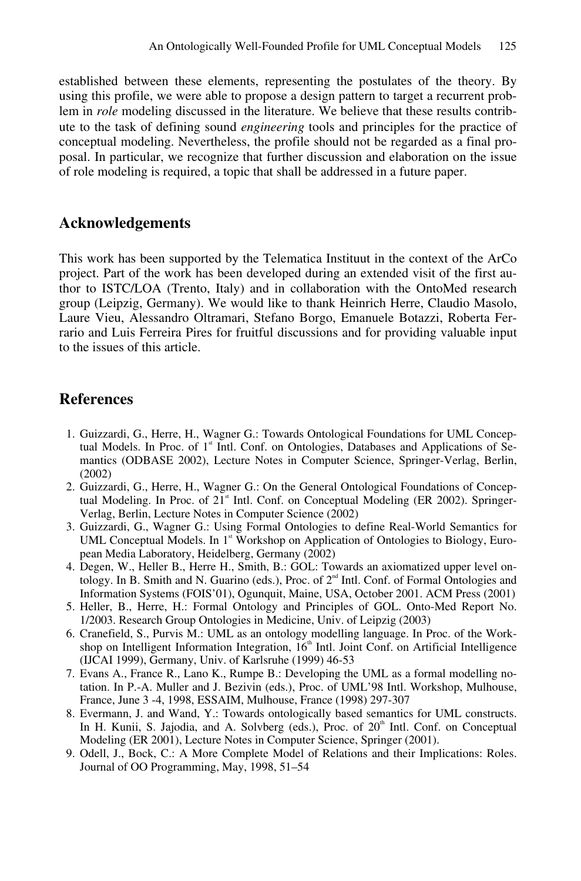established between these elements, representing the postulates of the theory. By using this profile, we were able to propose a design pattern to target a recurrent problem in *role* modeling discussed in the literature. We believe that these results contribute to the task of defining sound *engineering* tools and principles for the practice of conceptual modeling. Nevertheless, the profile should not be regarded as a final proposal. In particular, we recognize that further discussion and elaboration on the issue of role modeling is required, a topic that shall be addressed in a future paper.

#### **Acknowledgements**

This work has been supported by the Telematica Instituut in the context of the ArCo project. Part of the work has been developed during an extended visit of the first author to ISTC/LOA (Trento, Italy) and in collaboration with the OntoMed research group (Leipzig, Germany). We would like to thank Heinrich Herre, Claudio Masolo, Laure Vieu, Alessandro Oltramari, Stefano Borgo, Emanuele Botazzi, Roberta Ferrario and Luis Ferreira Pires for fruitful discussions and for providing valuable input to the issues of this article.

## **References**

- 1. Guizzardi, G., Herre, H., Wagner G.: Towards Ontological Foundations for UML Conceptual Models. In Proc. of  $1<sup>st</sup>$  Intl. Conf. on Ontologies, Databases and Applications of Semantics (ODBASE 2002), Lecture Notes in Computer Science, Springer-Verlag, Berlin, (2002)
- 2. Guizzardi, G., Herre, H., Wagner G.: On the General Ontological Foundations of Conceptual Modeling. In Proc. of  $21<sup>st</sup>$  Intl. Conf. on Conceptual Modeling (ER 2002). Springer-Verlag, Berlin, Lecture Notes in Computer Science (2002)
- 3. Guizzardi, G., Wagner G.: Using Formal Ontologies to define Real-World Semantics for UML Conceptual Models. In  $1<sup>s</sup>$  Workshop on Application of Ontologies to Biology, European Media Laboratory, Heidelberg, Germany (2002)
- 4. Degen, W., Heller B., Herre H., Smith, B.: GOL: Towards an axiomatized upper level ontology. In B. Smith and N. Guarino (eds.), Proc. of  $2<sup>nd</sup>$  Intl. Conf. of Formal Ontologies and Information Systems (FOIS'01), Ogunquit, Maine, USA, October 2001. ACM Press (2001)
- 5. Heller, B., Herre, H.: Formal Ontology and Principles of GOL. Onto-Med Report No. 1/2003. Research Group Ontologies in Medicine, Univ. of Leipzig (2003)
- 6. Cranefield, S., Purvis M.: UML as an ontology modelling language. In Proc. of the Workshop on Intelligent Information Integration,  $16<sup>th</sup>$  Intl. Joint Conf. on Artificial Intelligence (IJCAI 1999), Germany, Univ. of Karlsruhe (1999) 46-53
- 7. Evans A., France R., Lano K., Rumpe B.: Developing the UML as a formal modelling notation. In P.-A. Muller and J. Bezivin (eds.), Proc. of UML'98 Intl. Workshop, Mulhouse, France, June 3 -4, 1998, ESSAIM, Mulhouse, France (1998) 297-307
- 8. Evermann, J. and Wand, Y.: Towards ontologically based semantics for UML constructs. In H. Kunii, S. Jajodia, and A. Solvberg (eds.), Proc. of  $20<sup>th</sup>$  Intl. Conf. on Conceptual Modeling (ER 2001), Lecture Notes in Computer Science, Springer (2001).
- 9. Odell, J., Bock, C.: A More Complete Model of Relations and their Implications: Roles. Journal of OO Programming, May, 1998, 51–54